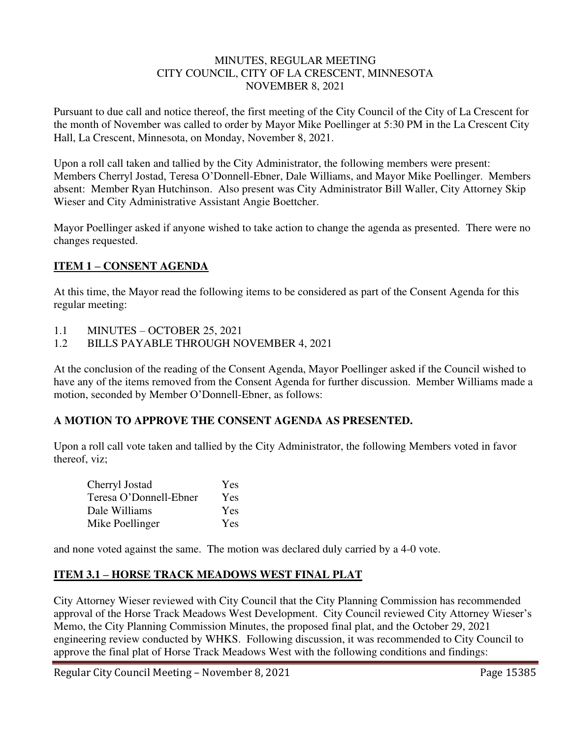#### MINUTES, REGULAR MEETING CITY COUNCIL, CITY OF LA CRESCENT, MINNESOTA NOVEMBER 8, 2021

Pursuant to due call and notice thereof, the first meeting of the City Council of the City of La Crescent for the month of November was called to order by Mayor Mike Poellinger at 5:30 PM in the La Crescent City Hall, La Crescent, Minnesota, on Monday, November 8, 2021.

Upon a roll call taken and tallied by the City Administrator, the following members were present: Members Cherryl Jostad, Teresa O'Donnell-Ebner, Dale Williams, and Mayor Mike Poellinger. Members absent: Member Ryan Hutchinson. Also present was City Administrator Bill Waller, City Attorney Skip Wieser and City Administrative Assistant Angie Boettcher.

Mayor Poellinger asked if anyone wished to take action to change the agenda as presented. There were no changes requested.

# **ITEM 1 – CONSENT AGENDA**

At this time, the Mayor read the following items to be considered as part of the Consent Agenda for this regular meeting:

- 1.1 MINUTES OCTOBER 25, 2021
- 1.2 BILLS PAYABLE THROUGH NOVEMBER 4, 2021

At the conclusion of the reading of the Consent Agenda, Mayor Poellinger asked if the Council wished to have any of the items removed from the Consent Agenda for further discussion. Member Williams made a motion, seconded by Member O'Donnell-Ebner, as follows:

## **A MOTION TO APPROVE THE CONSENT AGENDA AS PRESENTED.**

Upon a roll call vote taken and tallied by the City Administrator, the following Members voted in favor thereof, viz;

| Cherryl Jostad         | <b>Yes</b> |
|------------------------|------------|
| Teresa O'Donnell-Ebner | Yes        |
| Dale Williams          | <b>Yes</b> |
| Mike Poellinger        | Yes        |

and none voted against the same. The motion was declared duly carried by a 4-0 vote.

# **ITEM 3.1 – HORSE TRACK MEADOWS WEST FINAL PLAT**

City Attorney Wieser reviewed with City Council that the City Planning Commission has recommended approval of the Horse Track Meadows West Development. City Council reviewed City Attorney Wieser's Memo, the City Planning Commission Minutes, the proposed final plat, and the October 29, 2021 engineering review conducted by WHKS. Following discussion, it was recommended to City Council to approve the final plat of Horse Track Meadows West with the following conditions and findings: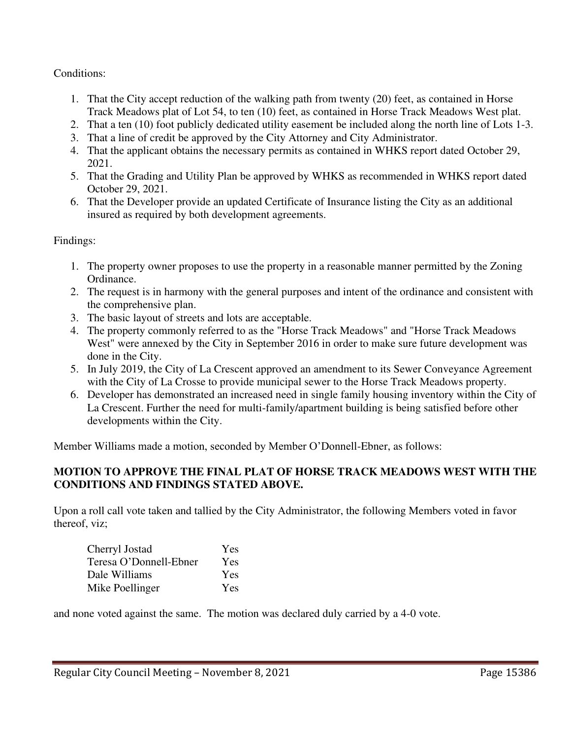Conditions:

- 1. That the City accept reduction of the walking path from twenty (20) feet, as contained in Horse Track Meadows plat of Lot 54, to ten (10) feet, as contained in Horse Track Meadows West plat.
- 2. That a ten (10) foot publicly dedicated utility easement be included along the north line of Lots 1-3.
- 3. That a line of credit be approved by the City Attorney and City Administrator.
- 4. That the applicant obtains the necessary permits as contained in WHKS report dated October 29, 2021.
- 5. That the Grading and Utility Plan be approved by WHKS as recommended in WHKS report dated October 29, 2021.
- 6. That the Developer provide an updated Certificate of Insurance listing the City as an additional insured as required by both development agreements.

Findings:

- 1. The property owner proposes to use the property in a reasonable manner permitted by the Zoning Ordinance.
- 2. The request is in harmony with the general purposes and intent of the ordinance and consistent with the comprehensive plan.
- 3. The basic layout of streets and lots are acceptable.
- 4. The property commonly referred to as the "Horse Track Meadows" and "Horse Track Meadows West" were annexed by the City in September 2016 in order to make sure future development was done in the City.
- 5. In July 2019, the City of La Crescent approved an amendment to its Sewer Conveyance Agreement with the City of La Crosse to provide municipal sewer to the Horse Track Meadows property.
- 6. Developer has demonstrated an increased need in single family housing inventory within the City of La Crescent. Further the need for multi-family/apartment building is being satisfied before other developments within the City.

Member Williams made a motion, seconded by Member O'Donnell-Ebner, as follows:

# **MOTION TO APPROVE THE FINAL PLAT OF HORSE TRACK MEADOWS WEST WITH THE CONDITIONS AND FINDINGS STATED ABOVE.**

Upon a roll call vote taken and tallied by the City Administrator, the following Members voted in favor thereof, viz;

| Cherryl Jostad         | <b>Yes</b> |
|------------------------|------------|
| Teresa O'Donnell-Ebner | Yes        |
| Dale Williams          | Yes        |
| Mike Poellinger        | <b>Yes</b> |

and none voted against the same. The motion was declared duly carried by a 4-0 vote.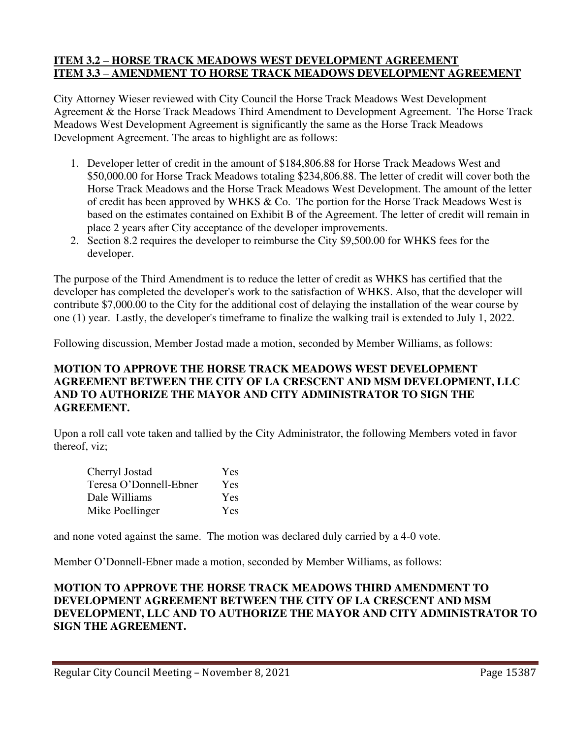#### **ITEM 3.2 – HORSE TRACK MEADOWS WEST DEVELOPMENT AGREEMENT ITEM 3.3 – AMENDMENT TO HORSE TRACK MEADOWS DEVELOPMENT AGREEMENT**

City Attorney Wieser reviewed with City Council the Horse Track Meadows West Development Agreement & the Horse Track Meadows Third Amendment to Development Agreement. The Horse Track Meadows West Development Agreement is significantly the same as the Horse Track Meadows Development Agreement. The areas to highlight are as follows:

- 1. Developer letter of credit in the amount of \$184,806.88 for Horse Track Meadows West and \$50,000.00 for Horse Track Meadows totaling \$234,806.88. The letter of credit will cover both the Horse Track Meadows and the Horse Track Meadows West Development. The amount of the letter of credit has been approved by WHKS & Co. The portion for the Horse Track Meadows West is based on the estimates contained on Exhibit B of the Agreement. The letter of credit will remain in place 2 years after City acceptance of the developer improvements.
- 2. Section 8.2 requires the developer to reimburse the City \$9,500.00 for WHKS fees for the developer.

The purpose of the Third Amendment is to reduce the letter of credit as WHKS has certified that the developer has completed the developer's work to the satisfaction of WHKS. Also, that the developer will contribute \$7,000.00 to the City for the additional cost of delaying the installation of the wear course by one (1) year. Lastly, the developer's timeframe to finalize the walking trail is extended to July 1, 2022.

Following discussion, Member Jostad made a motion, seconded by Member Williams, as follows:

# **MOTION TO APPROVE THE HORSE TRACK MEADOWS WEST DEVELOPMENT AGREEMENT BETWEEN THE CITY OF LA CRESCENT AND MSM DEVELOPMENT, LLC AND TO AUTHORIZE THE MAYOR AND CITY ADMINISTRATOR TO SIGN THE AGREEMENT.**

Upon a roll call vote taken and tallied by the City Administrator, the following Members voted in favor thereof, viz;

| Cherryl Jostad         | Yes |
|------------------------|-----|
| Teresa O'Donnell-Ebner | Yes |
| Dale Williams          | Yes |
| Mike Poellinger        | Yes |

and none voted against the same. The motion was declared duly carried by a 4-0 vote.

Member O'Donnell-Ebner made a motion, seconded by Member Williams, as follows:

#### **MOTION TO APPROVE THE HORSE TRACK MEADOWS THIRD AMENDMENT TO DEVELOPMENT AGREEMENT BETWEEN THE CITY OF LA CRESCENT AND MSM DEVELOPMENT, LLC AND TO AUTHORIZE THE MAYOR AND CITY ADMINISTRATOR TO SIGN THE AGREEMENT.**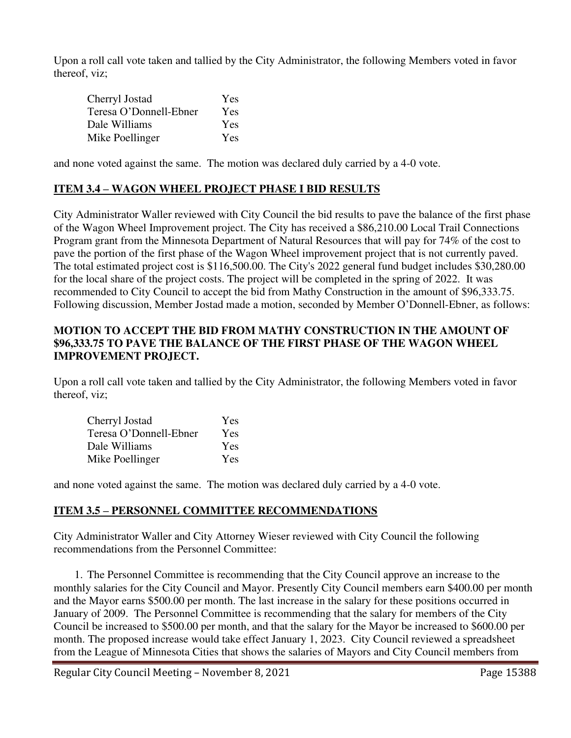Upon a roll call vote taken and tallied by the City Administrator, the following Members voted in favor thereof, viz;

| Cherryl Jostad         | Yes        |
|------------------------|------------|
| Teresa O'Donnell-Ebner | <b>Yes</b> |
| Dale Williams          | <b>Yes</b> |
| Mike Poellinger        | Yes        |

and none voted against the same. The motion was declared duly carried by a 4-0 vote.

# **ITEM 3.4 – WAGON WHEEL PROJECT PHASE I BID RESULTS**

City Administrator Waller reviewed with City Council the bid results to pave the balance of the first phase of the Wagon Wheel Improvement project. The City has received a \$86,210.00 Local Trail Connections Program grant from the Minnesota Department of Natural Resources that will pay for 74% of the cost to pave the portion of the first phase of the Wagon Wheel improvement project that is not currently paved. The total estimated project cost is \$116,500.00. The City's 2022 general fund budget includes \$30,280.00 for the local share of the project costs. The project will be completed in the spring of 2022. It was recommended to City Council to accept the bid from Mathy Construction in the amount of \$96,333.75. Following discussion, Member Jostad made a motion, seconded by Member O'Donnell-Ebner, as follows:

# **MOTION TO ACCEPT THE BID FROM MATHY CONSTRUCTION IN THE AMOUNT OF \$96,333.75 TO PAVE THE BALANCE OF THE FIRST PHASE OF THE WAGON WHEEL IMPROVEMENT PROJECT.**

Upon a roll call vote taken and tallied by the City Administrator, the following Members voted in favor thereof, viz;

| Cherryl Jostad         | <b>Yes</b> |
|------------------------|------------|
| Teresa O'Donnell-Ebner | Yes        |
| Dale Williams          | Yes        |
| Mike Poellinger        | Yes        |

and none voted against the same. The motion was declared duly carried by a 4-0 vote.

## **ITEM 3.5 – PERSONNEL COMMITTEE RECOMMENDATIONS**

City Administrator Waller and City Attorney Wieser reviewed with City Council the following recommendations from the Personnel Committee:

1. The Personnel Committee is recommending that the City Council approve an increase to the monthly salaries for the City Council and Mayor. Presently City Council members earn \$400.00 per month and the Mayor earns \$500.00 per month. The last increase in the salary for these positions occurred in January of 2009. The Personnel Committee is recommending that the salary for members of the City Council be increased to \$500.00 per month, and that the salary for the Mayor be increased to \$600.00 per month. The proposed increase would take effect January 1, 2023. City Council reviewed a spreadsheet from the League of Minnesota Cities that shows the salaries of Mayors and City Council members from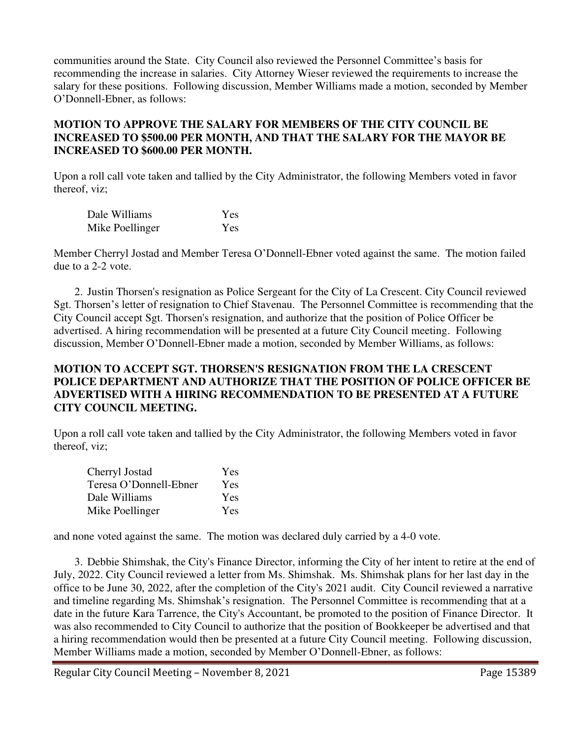communities around the State. City Council also reviewed the Personnel Committee's basis for recommending the increase in salaries. City Attorney Wieser reviewed the requirements to increase the salary for these positions. Following discussion, Member Williams made a motion, seconded by Member O'Donnell-Ebner, as follows:

## **MOTION TO APPROVE THE SALARY FOR MEMBERS OF THE CITY COUNCIL BE INCREASED TO \$500.00 PER MONTH, AND THAT THE SALARY FOR THE MAYOR BE INCREASED TO \$600.00 PER MONTH.**

Upon a roll call vote taken and tallied by the City Administrator, the following Members voted in favor thereof, viz;

| Dale Williams   | Yes |
|-----------------|-----|
| Mike Poellinger | Yes |

Member Cherryl Jostad and Member Teresa O'Donnell-Ebner voted against the same. The motion failed due to a 2-2 vote.

2. Justin Thorsen's resignation as Police Sergeant for the City of La Crescent. City Council reviewed Sgt. Thorsen's letter of resignation to Chief Stavenau. The Personnel Committee is recommending that the City Council accept Sgt. Thorsen's resignation, and authorize that the position of Police Officer be advertised. A hiring recommendation will be presented at a future City Council meeting. Following discussion, Member O'Donnell-Ebner made a motion, seconded by Member Williams, as follows:

## **MOTION TO ACCEPT SGT. THORSEN'S RESIGNATION FROM THE LA CRESCENT POLICE DEPARTMENT AND AUTHORIZE THAT THE POSITION OF POLICE OFFICER BE ADVERTISED WITH A HIRING RECOMMENDATION TO BE PRESENTED AT A FUTURE CITY COUNCIL MEETING.**

Upon a roll call vote taken and tallied by the City Administrator, the following Members voted in favor thereof, viz;

| Cherryl Jostad         | Yes        |
|------------------------|------------|
| Teresa O'Donnell-Ebner | Yes        |
| Dale Williams          | Yes        |
| Mike Poellinger        | <b>Yes</b> |

and none voted against the same. The motion was declared duly carried by a 4-0 vote.

3. Debbie Shimshak, the City's Finance Director, informing the City of her intent to retire at the end of July, 2022. City Council reviewed a letter from Ms. Shimshak. Ms. Shimshak plans for her last day in the office to be June 30, 2022, after the completion of the City's 2021 audit. City Council reviewed a narrative and timeline regarding Ms. Shimshak's resignation. The Personnel Committee is recommending that at a date in the future Kara Tarrence, the City's Accountant, be promoted to the position of Finance Director. It was also recommended to City Council to authorize that the position of Bookkeeper be advertised and that a hiring recommendation would then be presented at a future City Council meeting. Following discussion, Member Williams made a motion, seconded by Member O'Donnell-Ebner, as follows: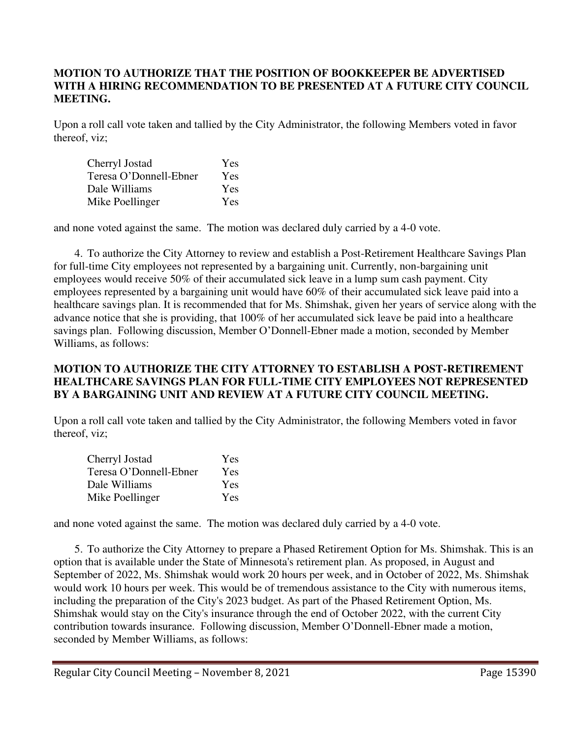## **MOTION TO AUTHORIZE THAT THE POSITION OF BOOKKEEPER BE ADVERTISED WITH A HIRING RECOMMENDATION TO BE PRESENTED AT A FUTURE CITY COUNCIL MEETING.**

Upon a roll call vote taken and tallied by the City Administrator, the following Members voted in favor thereof, viz;

| Cherryl Jostad         | <b>Yes</b> |
|------------------------|------------|
| Teresa O'Donnell-Ebner | Yes        |
| Dale Williams          | Yes        |
| Mike Poellinger        | Yes        |

and none voted against the same. The motion was declared duly carried by a 4-0 vote.

4. To authorize the City Attorney to review and establish a Post-Retirement Healthcare Savings Plan for full-time City employees not represented by a bargaining unit. Currently, non-bargaining unit employees would receive 50% of their accumulated sick leave in a lump sum cash payment. City employees represented by a bargaining unit would have 60% of their accumulated sick leave paid into a healthcare savings plan. It is recommended that for Ms. Shimshak, given her years of service along with the advance notice that she is providing, that 100% of her accumulated sick leave be paid into a healthcare savings plan. Following discussion, Member O'Donnell-Ebner made a motion, seconded by Member Williams, as follows:

## **MOTION TO AUTHORIZE THE CITY ATTORNEY TO ESTABLISH A POST-RETIREMENT HEALTHCARE SAVINGS PLAN FOR FULL-TIME CITY EMPLOYEES NOT REPRESENTED BY A BARGAINING UNIT AND REVIEW AT A FUTURE CITY COUNCIL MEETING.**

Upon a roll call vote taken and tallied by the City Administrator, the following Members voted in favor thereof, viz;

| Cherryl Jostad         | Yes |
|------------------------|-----|
| Teresa O'Donnell-Ebner | Yes |
| Dale Williams          | Yes |
| Mike Poellinger        | Yes |

and none voted against the same. The motion was declared duly carried by a 4-0 vote.

5. To authorize the City Attorney to prepare a Phased Retirement Option for Ms. Shimshak. This is an option that is available under the State of Minnesota's retirement plan. As proposed, in August and September of 2022, Ms. Shimshak would work 20 hours per week, and in October of 2022, Ms. Shimshak would work 10 hours per week. This would be of tremendous assistance to the City with numerous items, including the preparation of the City's 2023 budget. As part of the Phased Retirement Option, Ms. Shimshak would stay on the City's insurance through the end of October 2022, with the current City contribution towards insurance. Following discussion, Member O'Donnell-Ebner made a motion, seconded by Member Williams, as follows: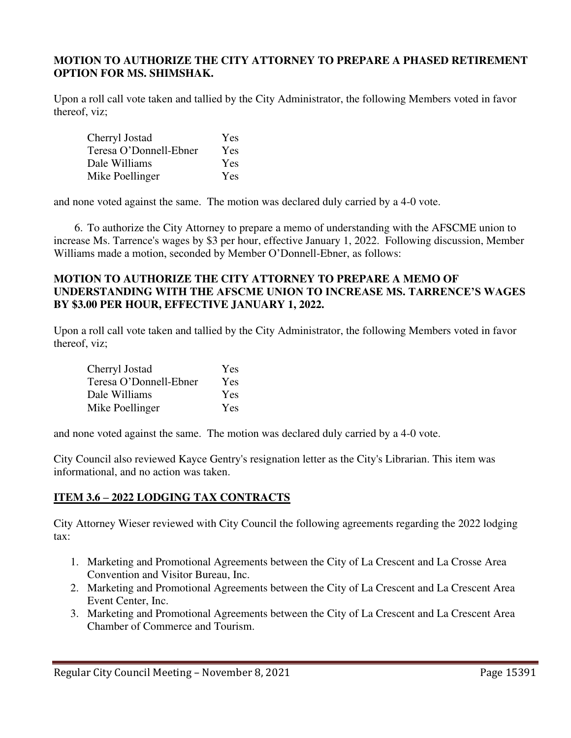#### **MOTION TO AUTHORIZE THE CITY ATTORNEY TO PREPARE A PHASED RETIREMENT OPTION FOR MS. SHIMSHAK.**

Upon a roll call vote taken and tallied by the City Administrator, the following Members voted in favor thereof, viz;

| Cherryl Jostad         | Yes        |
|------------------------|------------|
| Teresa O'Donnell-Ebner | Yes        |
| Dale Williams          | <b>Yes</b> |
| Mike Poellinger        | <b>Yes</b> |

and none voted against the same. The motion was declared duly carried by a 4-0 vote.

6. To authorize the City Attorney to prepare a memo of understanding with the AFSCME union to increase Ms. Tarrence's wages by \$3 per hour, effective January 1, 2022. Following discussion, Member Williams made a motion, seconded by Member O'Donnell-Ebner, as follows:

#### **MOTION TO AUTHORIZE THE CITY ATTORNEY TO PREPARE A MEMO OF UNDERSTANDING WITH THE AFSCME UNION TO INCREASE MS. TARRENCE'S WAGES BY \$3.00 PER HOUR, EFFECTIVE JANUARY 1, 2022.**

Upon a roll call vote taken and tallied by the City Administrator, the following Members voted in favor thereof, viz;

| Cherryl Jostad         | Yes |
|------------------------|-----|
| Teresa O'Donnell-Ebner | Yes |
| Dale Williams          | Yes |
| Mike Poellinger        | Yes |

and none voted against the same. The motion was declared duly carried by a 4-0 vote.

City Council also reviewed Kayce Gentry's resignation letter as the City's Librarian. This item was informational, and no action was taken.

# **ITEM 3.6 – 2022 LODGING TAX CONTRACTS**

City Attorney Wieser reviewed with City Council the following agreements regarding the 2022 lodging tax:

- 1. Marketing and Promotional Agreements between the City of La Crescent and La Crosse Area Convention and Visitor Bureau, Inc.
- 2. Marketing and Promotional Agreements between the City of La Crescent and La Crescent Area Event Center, Inc.
- 3. Marketing and Promotional Agreements between the City of La Crescent and La Crescent Area Chamber of Commerce and Tourism.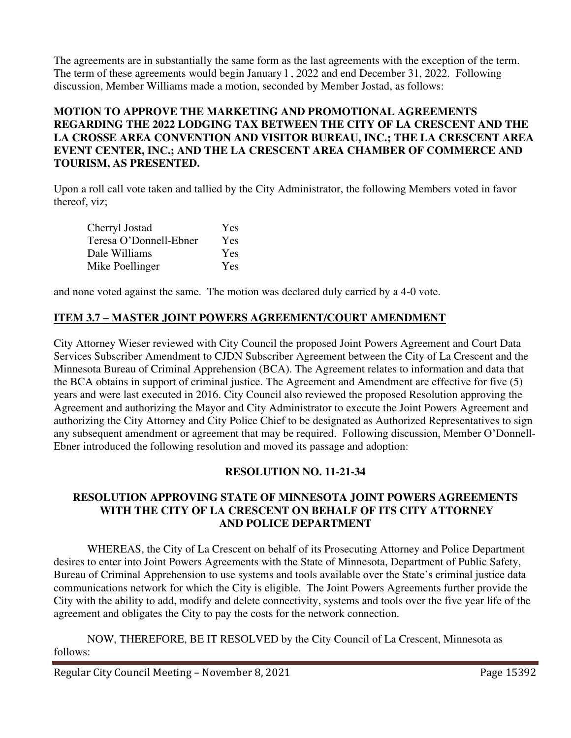The agreements are in substantially the same form as the last agreements with the exception of the term. The term of these agreements would begin January l , 2022 and end December 31, 2022. Following discussion, Member Williams made a motion, seconded by Member Jostad, as follows:

# **MOTION TO APPROVE THE MARKETING AND PROMOTIONAL AGREEMENTS REGARDING THE 2022 LODGING TAX BETWEEN THE CITY OF LA CRESCENT AND THE LA CROSSE AREA CONVENTION AND VISITOR BUREAU, INC.; THE LA CRESCENT AREA EVENT CENTER, INC.; AND THE LA CRESCENT AREA CHAMBER OF COMMERCE AND TOURISM, AS PRESENTED.**

Upon a roll call vote taken and tallied by the City Administrator, the following Members voted in favor thereof, viz;

| Cherryl Jostad         | <b>Yes</b> |
|------------------------|------------|
| Teresa O'Donnell-Ebner | Yes        |
| Dale Williams          | Yes        |
| Mike Poellinger        | <b>Yes</b> |

and none voted against the same. The motion was declared duly carried by a 4-0 vote.

# **ITEM 3.7 – MASTER JOINT POWERS AGREEMENT/COURT AMENDMENT**

City Attorney Wieser reviewed with City Council the proposed Joint Powers Agreement and Court Data Services Subscriber Amendment to CJDN Subscriber Agreement between the City of La Crescent and the Minnesota Bureau of Criminal Apprehension (BCA). The Agreement relates to information and data that the BCA obtains in support of criminal justice. The Agreement and Amendment are effective for five (5) years and were last executed in 2016. City Council also reviewed the proposed Resolution approving the Agreement and authorizing the Mayor and City Administrator to execute the Joint Powers Agreement and authorizing the City Attorney and City Police Chief to be designated as Authorized Representatives to sign any subsequent amendment or agreement that may be required. Following discussion, Member O'Donnell-Ebner introduced the following resolution and moved its passage and adoption:

# **RESOLUTION NO. 11-21-34**

# **RESOLUTION APPROVING STATE OF MINNESOTA JOINT POWERS AGREEMENTS WITH THE CITY OF LA CRESCENT ON BEHALF OF ITS CITY ATTORNEY AND POLICE DEPARTMENT**

 WHEREAS, the City of La Crescent on behalf of its Prosecuting Attorney and Police Department desires to enter into Joint Powers Agreements with the State of Minnesota, Department of Public Safety, Bureau of Criminal Apprehension to use systems and tools available over the State's criminal justice data communications network for which the City is eligible. The Joint Powers Agreements further provide the City with the ability to add, modify and delete connectivity, systems and tools over the five year life of the agreement and obligates the City to pay the costs for the network connection.

 NOW, THEREFORE, BE IT RESOLVED by the City Council of La Crescent, Minnesota as follows: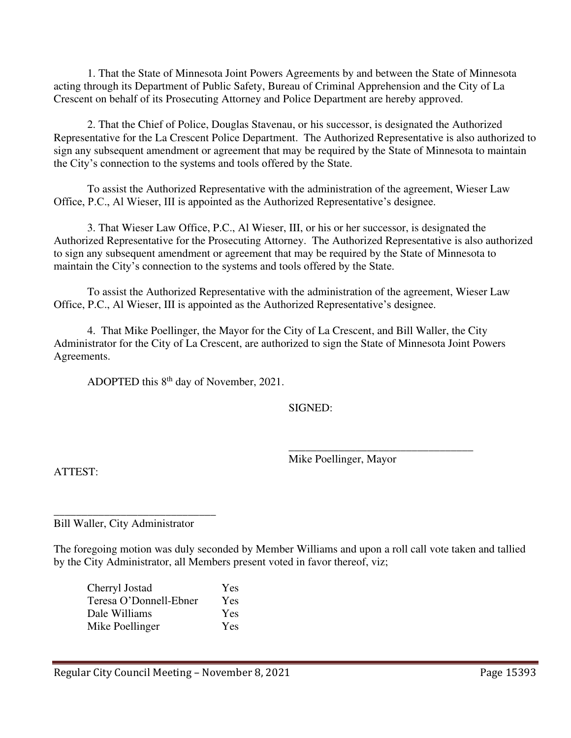1. That the State of Minnesota Joint Powers Agreements by and between the State of Minnesota acting through its Department of Public Safety, Bureau of Criminal Apprehension and the City of La Crescent on behalf of its Prosecuting Attorney and Police Department are hereby approved.

 2. That the Chief of Police, Douglas Stavenau, or his successor, is designated the Authorized Representative for the La Crescent Police Department. The Authorized Representative is also authorized to sign any subsequent amendment or agreement that may be required by the State of Minnesota to maintain the City's connection to the systems and tools offered by the State.

 To assist the Authorized Representative with the administration of the agreement, Wieser Law Office, P.C., Al Wieser, III is appointed as the Authorized Representative's designee.

 3. That Wieser Law Office, P.C., Al Wieser, III, or his or her successor, is designated the Authorized Representative for the Prosecuting Attorney. The Authorized Representative is also authorized to sign any subsequent amendment or agreement that may be required by the State of Minnesota to maintain the City's connection to the systems and tools offered by the State.

 To assist the Authorized Representative with the administration of the agreement, Wieser Law Office, P.C., Al Wieser, III is appointed as the Authorized Representative's designee.

 4. That Mike Poellinger, the Mayor for the City of La Crescent, and Bill Waller, the City Administrator for the City of La Crescent, are authorized to sign the State of Minnesota Joint Powers Agreements.

ADOPTED this 8th day of November, 2021.

SIGNED:

 $\frac{1}{\sqrt{2\pi}}$  , which is a set of the set of the set of the set of the set of the set of the set of the set of the set of the set of the set of the set of the set of the set of the set of the set of the set of the set of Mike Poellinger, Mayor

ATTEST:

\_\_\_\_\_\_\_\_\_\_\_\_\_\_\_\_\_\_\_\_\_\_\_\_\_\_\_\_\_ Bill Waller, City Administrator

The foregoing motion was duly seconded by Member Williams and upon a roll call vote taken and tallied by the City Administrator, all Members present voted in favor thereof, viz;

| Cherryl Jostad         | Yes |
|------------------------|-----|
| Teresa O'Donnell-Ebner | Yes |
| Dale Williams          | Yes |
| Mike Poellinger        | Yes |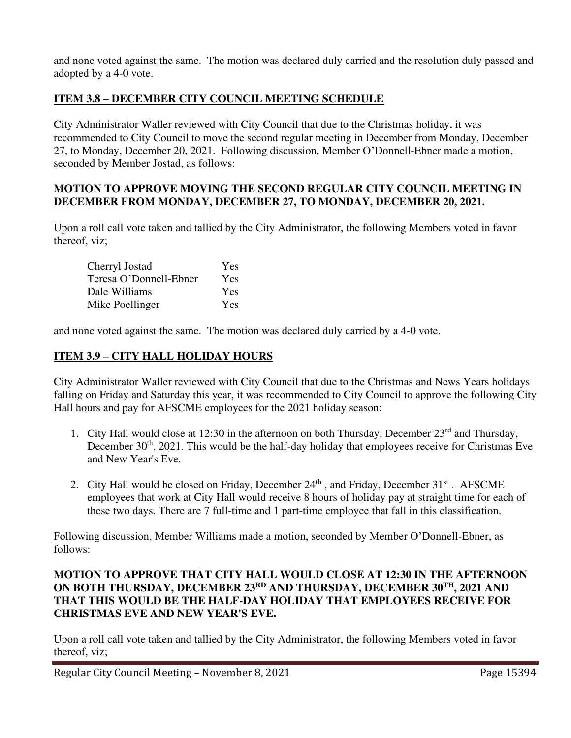and none voted against the same. The motion was declared duly carried and the resolution duly passed and adopted by a 4-0 vote.

# **ITEM 3.8 – DECEMBER CITY COUNCIL MEETING SCHEDULE**

City Administrator Waller reviewed with City Council that due to the Christmas holiday, it was recommended to City Council to move the second regular meeting in December from Monday, December 27, to Monday, December 20, 2021. Following discussion, Member O'Donnell-Ebner made a motion, seconded by Member Jostad, as follows:

#### **MOTION TO APPROVE MOVING THE SECOND REGULAR CITY COUNCIL MEETING IN DECEMBER FROM MONDAY, DECEMBER 27, TO MONDAY, DECEMBER 20, 2021.**

Upon a roll call vote taken and tallied by the City Administrator, the following Members voted in favor thereof, viz;

| Cherryl Jostad         | Yes        |
|------------------------|------------|
| Teresa O'Donnell-Ebner | <b>Yes</b> |
| Dale Williams          | Yes        |
| Mike Poellinger        | <b>Yes</b> |

and none voted against the same. The motion was declared duly carried by a 4-0 vote.

# **ITEM 3.9 – CITY HALL HOLIDAY HOURS**

City Administrator Waller reviewed with City Council that due to the Christmas and News Years holidays falling on Friday and Saturday this year, it was recommended to City Council to approve the following City Hall hours and pay for AFSCME employees for the 2021 holiday season:

- 1. City Hall would close at 12:30 in the afternoon on both Thursday, December  $23<sup>rd</sup>$  and Thursday, December  $30<sup>th</sup>$ ,  $2021$ . This would be the half-day holiday that employees receive for Christmas Eve and New Year's Eve.
- 2. City Hall would be closed on Friday, December 24<sup>th</sup>, and Friday, December 31<sup>st</sup>. AFSCME employees that work at City Hall would receive 8 hours of holiday pay at straight time for each of these two days. There are 7 full-time and 1 part-time employee that fall in this classification.

Following discussion, Member Williams made a motion, seconded by Member O'Donnell-Ebner, as follows:

## **MOTION TO APPROVE THAT CITY HALL WOULD CLOSE AT 12:30 IN THE AFTERNOON ON BOTH THURSDAY, DECEMBER 23RD AND THURSDAY, DECEMBER 30TH, 2021 AND THAT THIS WOULD BE THE HALF-DAY HOLIDAY THAT EMPLOYEES RECEIVE FOR CHRISTMAS EVE AND NEW YEAR'S EVE.**

Upon a roll call vote taken and tallied by the City Administrator, the following Members voted in favor thereof, viz;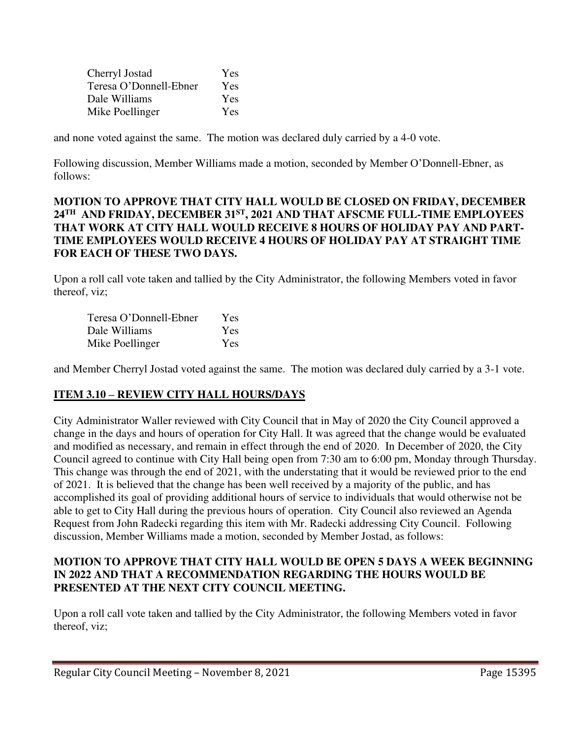| Cherryl Jostad         | Yes        |
|------------------------|------------|
| Teresa O'Donnell-Ebner | <b>Yes</b> |
| Dale Williams          | Yes        |
| Mike Poellinger        | Yes        |

and none voted against the same. The motion was declared duly carried by a 4-0 vote.

Following discussion, Member Williams made a motion, seconded by Member O'Donnell-Ebner, as follows:

# **MOTION TO APPROVE THAT CITY HALL WOULD BE CLOSED ON FRIDAY, DECEMBER 24TH AND FRIDAY, DECEMBER 31ST, 2021 AND THAT AFSCME FULL-TIME EMPLOYEES THAT WORK AT CITY HALL WOULD RECEIVE 8 HOURS OF HOLIDAY PAY AND PART-TIME EMPLOYEES WOULD RECEIVE 4 HOURS OF HOLIDAY PAY AT STRAIGHT TIME FOR EACH OF THESE TWO DAYS.**

Upon a roll call vote taken and tallied by the City Administrator, the following Members voted in favor thereof, viz;

| Teresa O'Donnell-Ebner | <b>Yes</b> |
|------------------------|------------|
| Dale Williams          | Yes        |
| Mike Poellinger        | <b>Yes</b> |

and Member Cherryl Jostad voted against the same. The motion was declared duly carried by a 3-1 vote.

# **ITEM 3.10 – REVIEW CITY HALL HOURS/DAYS**

City Administrator Waller reviewed with City Council that in May of 2020 the City Council approved a change in the days and hours of operation for City Hall. It was agreed that the change would be evaluated and modified as necessary, and remain in effect through the end of 2020. In December of 2020, the City Council agreed to continue with City Hall being open from 7:30 am to 6:00 pm, Monday through Thursday. This change was through the end of 2021, with the understating that it would be reviewed prior to the end of 2021. It is believed that the change has been well received by a majority of the public, and has accomplished its goal of providing additional hours of service to individuals that would otherwise not be able to get to City Hall during the previous hours of operation. City Council also reviewed an Agenda Request from John Radecki regarding this item with Mr. Radecki addressing City Council. Following discussion, Member Williams made a motion, seconded by Member Jostad, as follows:

# **MOTION TO APPROVE THAT CITY HALL WOULD BE OPEN 5 DAYS A WEEK BEGINNING IN 2022 AND THAT A RECOMMENDATION REGARDING THE HOURS WOULD BE PRESENTED AT THE NEXT CITY COUNCIL MEETING.**

Upon a roll call vote taken and tallied by the City Administrator, the following Members voted in favor thereof, viz;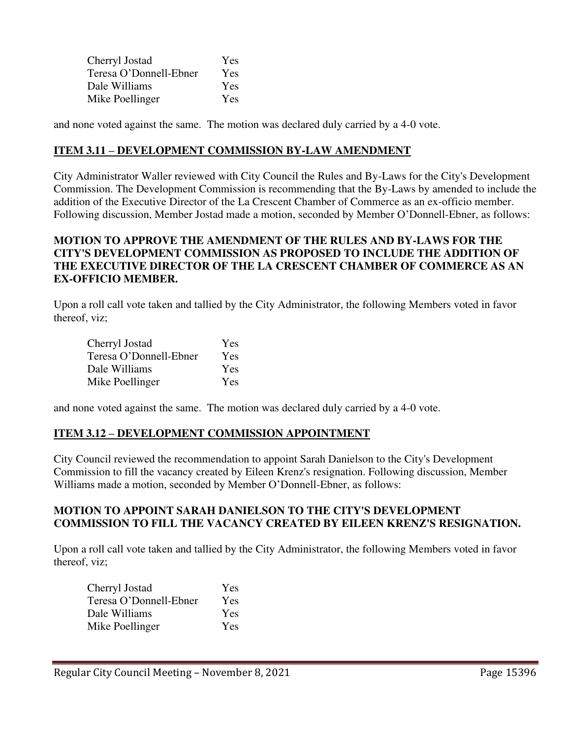| Cherryl Jostad         | <b>Yes</b> |
|------------------------|------------|
| Teresa O'Donnell-Ebner | Yes        |
| Dale Williams          | Yes        |
| Mike Poellinger        | Yes        |

and none voted against the same. The motion was declared duly carried by a 4-0 vote.

#### **ITEM 3.11 – DEVELOPMENT COMMISSION BY-LAW AMENDMENT**

City Administrator Waller reviewed with City Council the Rules and By-Laws for the City's Development Commission. The Development Commission is recommending that the By-Laws by amended to include the addition of the Executive Director of the La Crescent Chamber of Commerce as an ex-officio member. Following discussion, Member Jostad made a motion, seconded by Member O'Donnell-Ebner, as follows:

## **MOTION TO APPROVE THE AMENDMENT OF THE RULES AND BY-LAWS FOR THE CITY'S DEVELOPMENT COMMISSION AS PROPOSED TO INCLUDE THE ADDITION OF THE EXECUTIVE DIRECTOR OF THE LA CRESCENT CHAMBER OF COMMERCE AS AN EX-OFFICIO MEMBER.**

Upon a roll call vote taken and tallied by the City Administrator, the following Members voted in favor thereof, viz;

| Cherryl Jostad         | <b>Yes</b> |
|------------------------|------------|
| Teresa O'Donnell-Ebner | Yes        |
| Dale Williams          | Yes        |
| Mike Poellinger        | Yes        |

and none voted against the same. The motion was declared duly carried by a 4-0 vote.

## **ITEM 3.12 – DEVELOPMENT COMMISSION APPOINTMENT**

City Council reviewed the recommendation to appoint Sarah Danielson to the City's Development Commission to fill the vacancy created by Eileen Krenz's resignation. Following discussion, Member Williams made a motion, seconded by Member O'Donnell-Ebner, as follows:

#### **MOTION TO APPOINT SARAH DANIELSON TO THE CITY'S DEVELOPMENT COMMISSION TO FILL THE VACANCY CREATED BY EILEEN KRENZ'S RESIGNATION.**

Upon a roll call vote taken and tallied by the City Administrator, the following Members voted in favor thereof, viz;

| Cherryl Jostad         | Yes        |
|------------------------|------------|
| Teresa O'Donnell-Ebner | <b>Yes</b> |
| Dale Williams          | Yes        |
| Mike Poellinger        | <b>Yes</b> |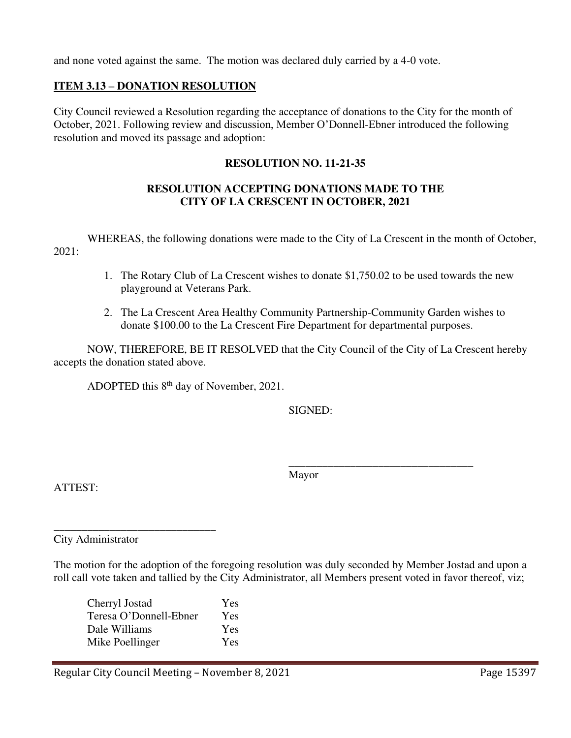and none voted against the same. The motion was declared duly carried by a 4-0 vote.

# **ITEM 3.13 – DONATION RESOLUTION**

City Council reviewed a Resolution regarding the acceptance of donations to the City for the month of October, 2021. Following review and discussion, Member O'Donnell-Ebner introduced the following resolution and moved its passage and adoption:

## **RESOLUTION NO. 11-21-35**

## **RESOLUTION ACCEPTING DONATIONS MADE TO THE CITY OF LA CRESCENT IN OCTOBER, 2021**

 WHEREAS, the following donations were made to the City of La Crescent in the month of October, 2021:

- 1. The Rotary Club of La Crescent wishes to donate \$1,750.02 to be used towards the new playground at Veterans Park.
- 2. The La Crescent Area Healthy Community Partnership-Community Garden wishes to donate \$100.00 to the La Crescent Fire Department for departmental purposes.

NOW, THEREFORE, BE IT RESOLVED that the City Council of the City of La Crescent hereby accepts the donation stated above.

ADOPTED this 8th day of November, 2021.

SIGNED:

Mayor

 $\overline{\phantom{a}}$  , and the contract of the contract of the contract of the contract of the contract of the contract of the contract of the contract of the contract of the contract of the contract of the contract of the contrac

ATTEST:

City Administrator

\_\_\_\_\_\_\_\_\_\_\_\_\_\_\_\_\_\_\_\_\_\_\_\_\_\_\_\_\_

The motion for the adoption of the foregoing resolution was duly seconded by Member Jostad and upon a roll call vote taken and tallied by the City Administrator, all Members present voted in favor thereof, viz;

| Cherryl Jostad         | Yes |
|------------------------|-----|
| Teresa O'Donnell-Ebner | Yes |
| Dale Williams          | Yes |
| Mike Poellinger        | Yes |
|                        |     |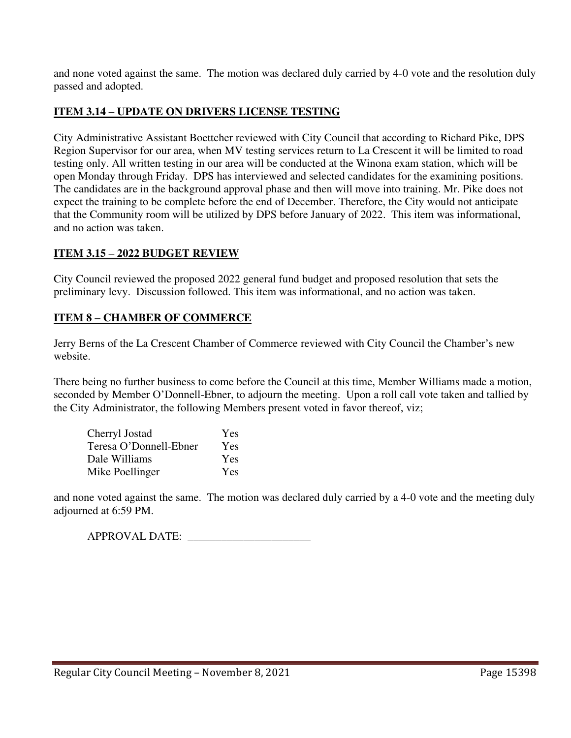and none voted against the same. The motion was declared duly carried by 4-0 vote and the resolution duly passed and adopted.

# **ITEM 3.14 – UPDATE ON DRIVERS LICENSE TESTING**

City Administrative Assistant Boettcher reviewed with City Council that according to Richard Pike, DPS Region Supervisor for our area, when MV testing services return to La Crescent it will be limited to road testing only. All written testing in our area will be conducted at the Winona exam station, which will be open Monday through Friday. DPS has interviewed and selected candidates for the examining positions. The candidates are in the background approval phase and then will move into training. Mr. Pike does not expect the training to be complete before the end of December. Therefore, the City would not anticipate that the Community room will be utilized by DPS before January of 2022. This item was informational, and no action was taken.

## **ITEM 3.15 – 2022 BUDGET REVIEW**

City Council reviewed the proposed 2022 general fund budget and proposed resolution that sets the preliminary levy. Discussion followed. This item was informational, and no action was taken.

## **ITEM 8 – CHAMBER OF COMMERCE**

Jerry Berns of the La Crescent Chamber of Commerce reviewed with City Council the Chamber's new website.

There being no further business to come before the Council at this time, Member Williams made a motion, seconded by Member O'Donnell-Ebner, to adjourn the meeting. Upon a roll call vote taken and tallied by the City Administrator, the following Members present voted in favor thereof, viz;

| Cherryl Jostad         | Yes |
|------------------------|-----|
| Teresa O'Donnell-Ebner | Yes |
| Dale Williams          | Yes |
| Mike Poellinger        | Yes |

and none voted against the same. The motion was declared duly carried by a 4-0 vote and the meeting duly adjourned at 6:59 PM.

APPROVAL DATE: